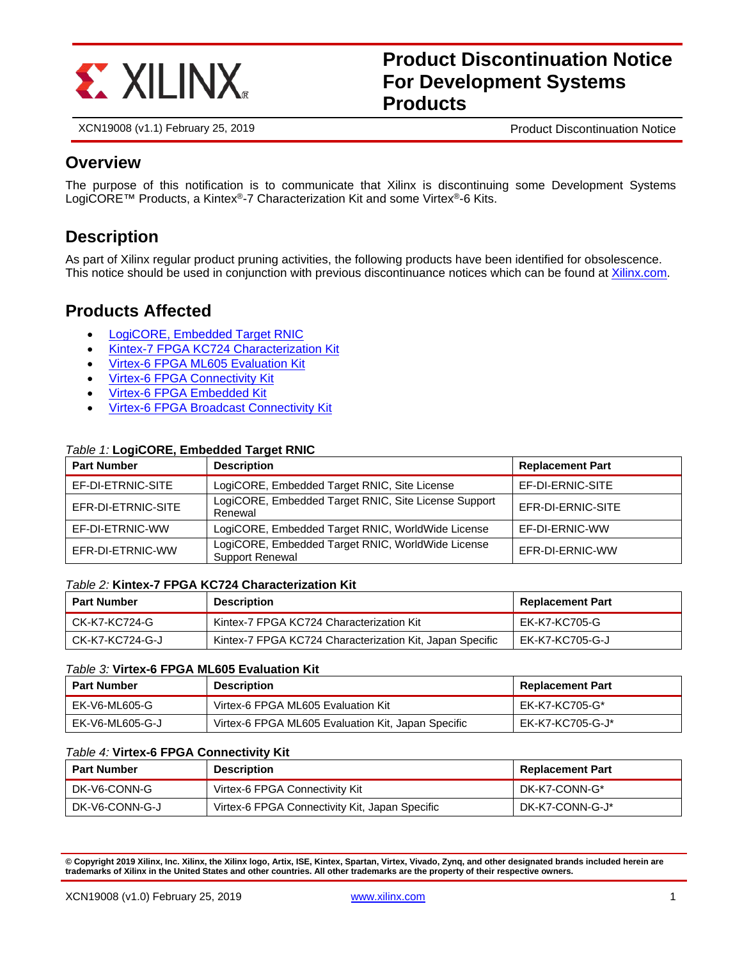

# **Product Discontinuation Notice For Development Systems Products**

XCN19008 (v1.1) February 25, 2019 **Product Discontinuation Notice** Product Discontinuation Notice

### **Overview**

The purpose of this notification is to communicate that Xilinx is discontinuing some Development Systems LogiCORE™ Products, a Kintex®-7 Characterization Kit and some Virtex®-6 Kits.

### **Description**

As part of Xilinx regular product pruning activities, the following products have been identified for obsolescence. This notice should be used in conjunction with previous discontinuance notices which can be found at [Xilinx.com.](https://www.xilinx.com/support/documentation-navigation/customer-notices.html)

### **Products Affected**

- [LogiCORE, Embedded Target RNIC](#page-0-0)
- [Kintex-7 FPGA KC724 Characterization Kit](#page-0-1)
- [Virtex-6 FPGA ML605 Evaluation Kit](#page-0-2)
- [Virtex-6 FPGA Connectivity Kit](#page-0-3)
- [Virtex-6 FPGA Embedded Kit](#page-1-0)
- [Virtex-6 FPGA Broadcast Connectivity Kit](#page-1-1)

### <span id="page-0-0"></span>*Table 1:* **LogiCORE, Embedded Target RNIC**

| <b>Part Number</b><br><b>Description</b>                                              |                                                                             | <b>Replacement Part</b> |  |
|---------------------------------------------------------------------------------------|-----------------------------------------------------------------------------|-------------------------|--|
| EF-DI-ETRNIC-SITE                                                                     | LogiCORE, Embedded Target RNIC, Site License                                | EF-DI-ERNIC-SITE        |  |
| LogiCORE, Embedded Target RNIC, Site License Support<br>EFR-DI-ETRNIC-SITE<br>Renewal |                                                                             | EFR-DI-ERNIC-SITE       |  |
| EF-DI-ETRNIC-WW                                                                       | LogiCORE, Embedded Target RNIC, WorldWide License<br>EF-DI-ERNIC-WW         |                         |  |
| EFR-DI-ETRNIC-WW                                                                      | LogiCORE, Embedded Target RNIC, WorldWide License<br><b>Support Renewal</b> | EFR-DI-ERNIC-WW         |  |

### <span id="page-0-1"></span>*Table 2:* **Kintex-7 FPGA KC724 Characterization Kit**

| <b>Part Number</b> | <b>Description</b>                                       | <b>Replacement Part</b> |
|--------------------|----------------------------------------------------------|-------------------------|
| CK-K7-KC724-G      | Kintex-7 FPGA KC724 Characterization Kit                 | EK-K7-KC705-G           |
| CK-K7-KC724-G-J    | Kintex-7 FPGA KC724 Characterization Kit, Japan Specific | EK-K7-KC705-G-J         |

### <span id="page-0-2"></span>*Table 3:* **Virtex-6 FPGA ML605 Evaluation Kit**

| <b>Part Number</b> | <b>Description</b>                                 | <b>Replacement Part</b> |
|--------------------|----------------------------------------------------|-------------------------|
| EK-V6-ML605-G      | Virtex-6 FPGA ML605 Evaluation Kit                 | EK-K7-KC705-G*          |
| EK-V6-ML605-G-J    | Virtex-6 FPGA ML605 Evaluation Kit, Japan Specific | EK-K7-KC705-G-J*        |

### <span id="page-0-3"></span>*Table 4:* **Virtex-6 FPGA Connectivity Kit**

| <b>Part Number</b> | <b>Description</b>                             | <b>Replacement Part</b> |
|--------------------|------------------------------------------------|-------------------------|
| DK-V6-CONN-G       | Virtex-6 FPGA Connectivity Kit                 | DK-K7-CONN-G*           |
| DK-V6-CONN-G-J     | Virtex-6 FPGA Connectivity Kit, Japan Specific | DK-K7-CONN-G-J*         |

**© Copyright 2019 Xilinx, Inc. Xilinx, the Xilinx logo, Artix, ISE, Kintex, Spartan, Virtex, Vivado, Zynq, and other designated brands included herein are trademarks of Xilinx in the United States and other countries. All other trademarks are the property of their respective owners.**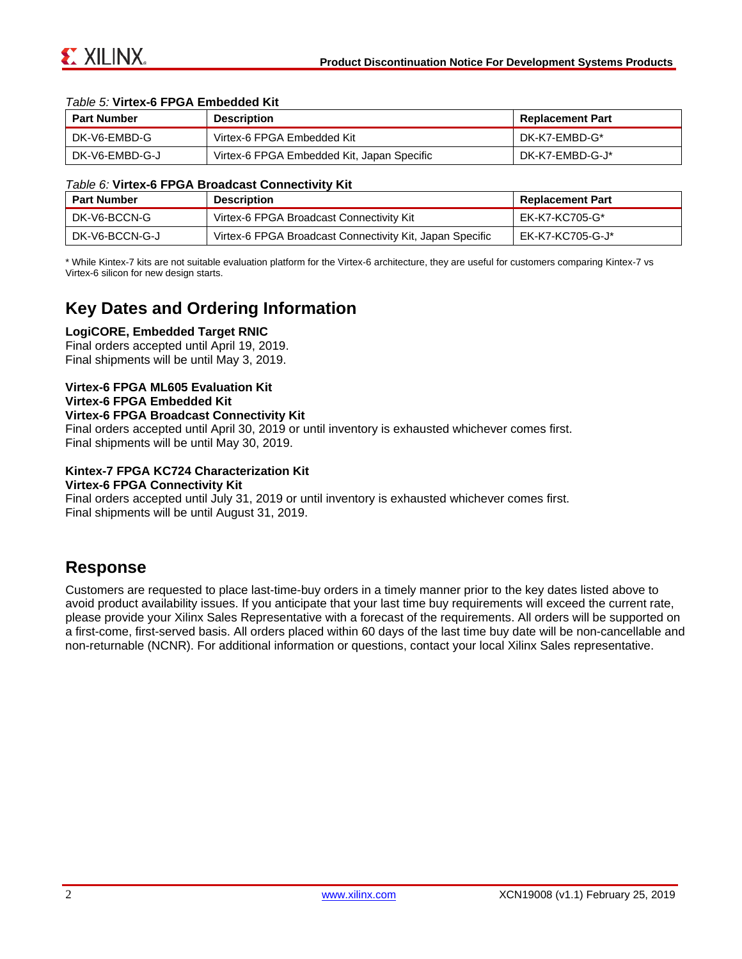

#### <span id="page-1-0"></span>*Table 5:* **Virtex-6 FPGA Embedded Kit**

| <b>Part Number</b> | <b>Description</b>                         | <b>Replacement Part</b> |
|--------------------|--------------------------------------------|-------------------------|
| l DK-V6-EMBD-G     | Virtex-6 FPGA Embedded Kit                 | DK-K7-EMBD-G*           |
| l DK-V6-EMBD-G-J   | Virtex-6 FPGA Embedded Kit, Japan Specific | DK-K7-EMBD-G-J*         |

#### <span id="page-1-1"></span>*Table 6:* **Virtex-6 FPGA Broadcast Connectivity Kit**

| <b>Part Number</b> | <b>Description</b>                                       | <b>Replacement Part</b> |
|--------------------|----------------------------------------------------------|-------------------------|
| DK-V6-BCCN-G       | Virtex-6 FPGA Broadcast Connectivity Kit                 | EK-K7-KC705-G*          |
| DK-V6-BCCN-G-J     | Virtex-6 FPGA Broadcast Connectivity Kit, Japan Specific | EK-K7-KC705-G-J*        |

\* While Kintex-7 kits are not suitable evaluation platform for the Virtex-6 architecture, they are useful for customers comparing Kintex-7 vs Virtex-6 silicon for new design starts.

### **Key Dates and Ordering Information**

#### **LogiCORE, Embedded Target RNIC**

Final orders accepted until April 19, 2019. Final shipments will be until May 3, 2019.

### **Virtex-6 FPGA ML605 Evaluation Kit Virtex-6 FPGA Embedded Kit**

#### **Virtex-6 FPGA Broadcast Connectivity Kit**

Final orders accepted until April 30, 2019 or until inventory is exhausted whichever comes first. Final shipments will be until May 30, 2019.

### **Kintex-7 FPGA KC724 Characterization Kit**

#### **Virtex-6 FPGA Connectivity Kit**

Final orders accepted until July 31, 2019 or until inventory is exhausted whichever comes first. Final shipments will be until August 31, 2019.

### **Response**

Customers are requested to place last-time-buy orders in a timely manner prior to the key dates listed above to avoid product availability issues. If you anticipate that your last time buy requirements will exceed the current rate, please provide your Xilinx Sales Representative with a forecast of the requirements. All orders will be supported on a first-come, first-served basis. All orders placed within 60 days of the last time buy date will be non-cancellable and non-returnable (NCNR). For additional information or questions, contact your local Xilinx Sales representative.